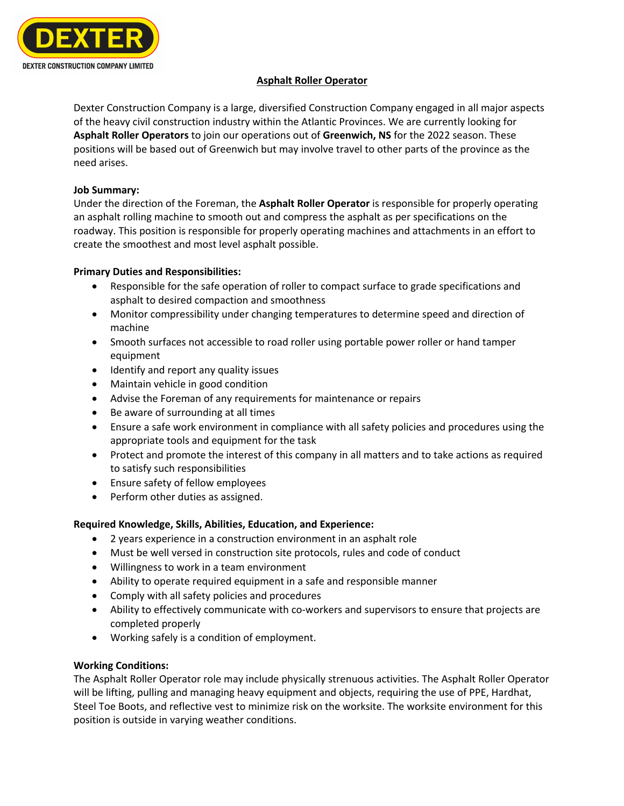

# **Asphalt Roller Operator**

Dexter Construction Company is a large, diversified Construction Company engaged in all major aspects of the heavy civil construction industry within the Atlantic Provinces. We are currently looking for **Asphalt Roller Operators** to join our operations out of **Greenwich, NS** for the 2022 season. These positions will be based out of Greenwich but may involve travel to other parts of the province as the need arises.

#### **Job Summary:**

Under the direction of the Foreman, the **Asphalt Roller Operator** is responsible for properly operating an asphalt rolling machine to smooth out and compress the asphalt as per specifications on the roadway. This position is responsible for properly operating machines and attachments in an effort to create the smoothest and most level asphalt possible.

# **Primary Duties and Responsibilities:**

- Responsible for the safe operation of roller to compact surface to grade specifications and asphalt to desired compaction and smoothness
- Monitor compressibility under changing temperatures to determine speed and direction of machine
- Smooth surfaces not accessible to road roller using portable power roller or hand tamper equipment
- Identify and report any quality issues
- Maintain vehicle in good condition
- Advise the Foreman of any requirements for maintenance or repairs
- Be aware of surrounding at all times
- Ensure a safe work environment in compliance with all safety policies and procedures using the appropriate tools and equipment for the task
- Protect and promote the interest of this company in all matters and to take actions as required to satisfy such responsibilities
- Ensure safety of fellow employees
- Perform other duties as assigned.

# **Required Knowledge, Skills, Abilities, Education, and Experience:**

- 2 years experience in a construction environment in an asphalt role
- Must be well versed in construction site protocols, rules and code of conduct
- Willingness to work in a team environment
- Ability to operate required equipment in a safe and responsible manner
- Comply with all safety policies and procedures
- Ability to effectively communicate with co-workers and supervisors to ensure that projects are completed properly
- Working safely is a condition of employment.

# **Working Conditions:**

The Asphalt Roller Operator role may include physically strenuous activities. The Asphalt Roller Operator will be lifting, pulling and managing heavy equipment and objects, requiring the use of PPE, Hardhat, Steel Toe Boots, and reflective vest to minimize risk on the worksite. The worksite environment for this position is outside in varying weather conditions.